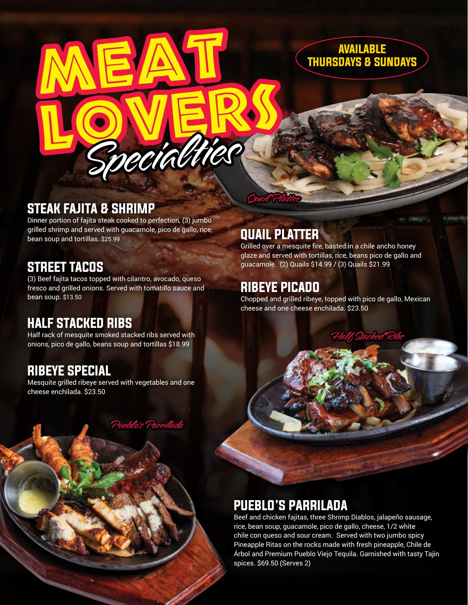

## STEAK FAJITA & SHRIMP

Dinner portion of fajita steak cooked to perfection, (3) jumbo grilled shrimp and served with guacamole, pico de gallo, rice, bean soup and tortillas. \$25.99

MEAT,

pecialti

#### STREET TACOS

(3) Beef fajita tacos topped with cilantro, avocado, queso fresco and grilled onions. Served with tomatillo sauce and bean soup. \$13.50

#### HALF STACKED RIBS

Half rack of mesquite smoked stacked ribs served with onions, pico de gallo, beans soup and tortillas \$18.99

#### RIBEYE SPECIAL

Mesquite grilled ribeye served with vegetables and one cheese enchilada. \$23.50

Pueblo's Parrillada

## QUAIL PLATTER

Quail Platter

Grilled over a mesquite fire, basted in a chile ancho honey glaze and served with tortillas, rice, beans pico de gallo and guacamole. (2) Quails \$14.99 / (3) Quails \$21.99

## RIBEYE PICADO

Chopped and grilled ribeye, topped with pico de gallo, Mexican cheese and one cheese enchilada. \$23.50

Half Stacked Ribs

## PUEBLO'S PARRILADA

Beef and chicken fajitas, three Shrimp Diablos, jalapeño sausage, rice, bean soup, guacamole, pico de gallo, cheese, 1/2 white chile con queso and sour cream. Served with two jumbo spicy Pineapple Ritas on the rocks made with fresh pineapple, Chile de Árbol and Premium Pueblo Viejo Tequila. Garnished with tasty Tajin spices. \$69.50 (Serves 2)